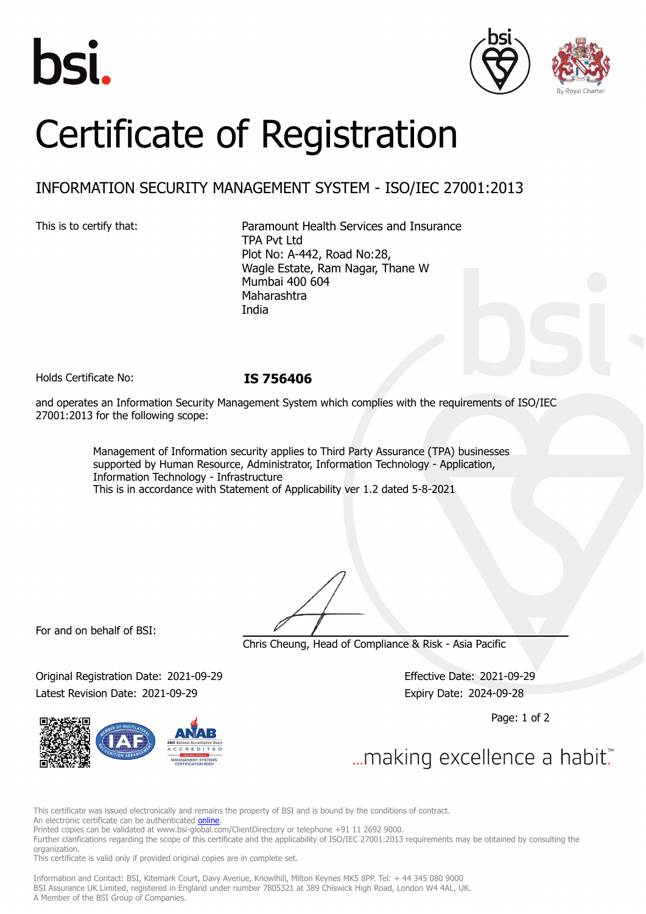





# Certificate of Registration

# INFORMATION SECURITY MANAGEMENT SYSTEM - ISO/IEC 27001:2013

This is to certify that: Paramount Health Services and Insurance TPA Pvt Ltd Plot No: A-442, Road No:28, Wagle Estate, Ram Nagar, Thane W Mumbai 400 604 Maharashtra India

Holds Certificate No: **IS 756406**

and operates an Information Security Management System which complies with the requirements of ISO/IEC 27001:2013 for the following scope:

> Management of Information security applies to Third Party Assurance (TPA) businesses supported by Human Resource, Administrator, Information Technology - Application, Information Technology - Infrastructure This is in accordance with Statement of Applicability ver 1.2 dated 5-8-2021

For and on behalf of BSI:

Chris Cheung, Head of Compliance & Risk - Asia Pacific

Original Registration Date: 2021-09-29 Effective Date: 2021-09-29 Latest Revision Date: 2021-09-29 Expiry Date: 2024-09-28

Page: 1 of 2

... making excellence a habit.

This certificate was issued electronically and remains the property of BSI and is bound by the conditions of contract.

An electronic certificate can be authenticated **[online](https://pgplus.bsigroup.com/CertificateValidation/CertificateValidator.aspx?CertificateNumber=IS+756406&ReIssueDate=29%2f09%2f2021&Template=india_en)**.

Printed copies can be validated at www.bsi-global.com/ClientDirectory or telephone +91 11 2692 9000.

Further clarifications regarding the scope of this certificate and the applicability of ISO/IEC 27001:2013 requirements may be obtained by consulting the organization.

This certificate is valid only if provided original copies are in complete set.

Information and Contact: BSI, Kitemark Court, Davy Avenue, Knowlhill, Milton Keynes MK5 8PP. Tel: + 44 345 080 9000 BSI Assurance UK Limited, registered in England under number 7805321 at 389 Chiswick High Road, London W4 4AL, UK. A Member of the BSI Group of Companies.